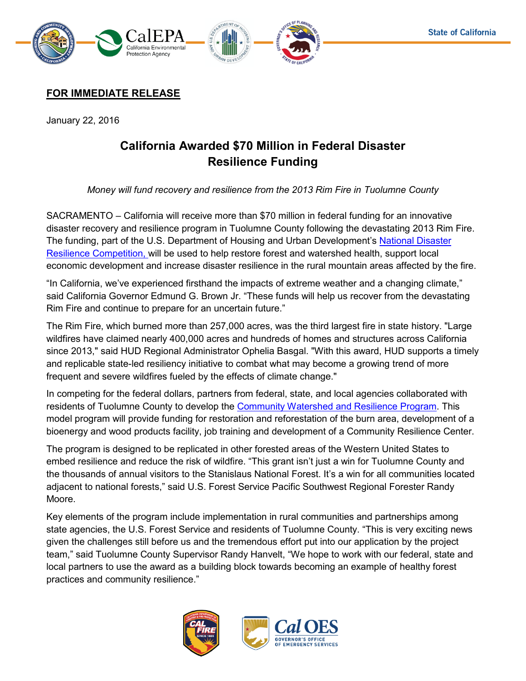

## **FOR IMMEDIATE RELEASE**

January 22, 2016

# **California Awarded \$70 Million in Federal Disaster Resilience Funding**

*Money will fund recovery and resilience from the 2013 Rim Fire in Tuolumne County* 

SACRAMENTO – California will receive more than \$70 million in federal funding for an innovative disaster recovery and resilience program in Tuolumne County following the devastating 2013 Rim Fire. The funding, part of the U.S. Department of Housing and Urban Development's National Disaster Resilience Competition, will be used to help restore forest and watershed health, support local economic development and increase disaster resilience in the rural mountain areas affected by the fire.

"In California, we've experienced firsthand the impacts of extreme weather and a changing climate," said California Governor Edmund G. Brown Jr. "These funds will help us recover from the devastating Rim Fire and continue to prepare for an uncertain future."

The Rim Fire, which burned more than 257,000 acres, was the third largest fire in state history. "Large wildfires have claimed nearly 400,000 acres and hundreds of homes and structures across California since 2013," said HUD Regional Administrator Ophelia Basgal. "With this award, HUD supports a timely and replicable state-led resiliency initiative to combat what may become a growing trend of more frequent and severe wildfires fueled by the effects of climate change."

In competing for the federal dollars, partners from federal, state, and local agencies collaborated with residents of Tuolumne County to develop the [Community Watershed and Resilience Program.](https://www.hcd.ca.gov/nationaldisaster/resiliencecompetition.html) This model program will provide funding for restoration and reforestation of the burn area, development of a bioenergy and wood products facility, job training and development of a Community Resilience Center.

The program is designed to be replicated in other forested areas of the Western United States to embed resilience and reduce the risk of wildfire. "This grant isn't just a win for Tuolumne County and the thousands of annual visitors to the Stanislaus National Forest. It's a win for all communities located adjacent to national forests," said U.S. Forest Service Pacific Southwest Regional Forester Randy Moore.

Key elements of the program include implementation in rural communities and partnerships among state agencies, the U.S. Forest Service and residents of Tuolumne County. "This is very exciting news given the challenges still before us and the tremendous effort put into our application by the project team," said Tuolumne County Supervisor Randy Hanvelt, "We hope to work with our federal, state and local partners to use the award as a building block towards becoming an example of healthy forest practices and community resilience."